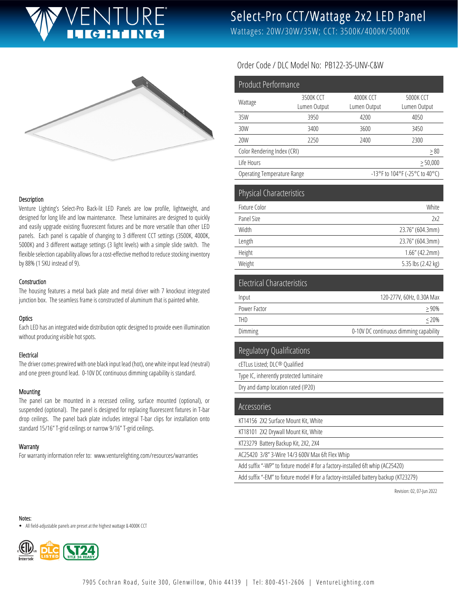# **GHING**

Select-Pro CCT/Wattage 2x2 LED Panel

Wattages: 20W/30W/35W; CCT: 3500K/4000K/5000K



#### Description

Venture Lighting's Select-Pro Back-lit LED Panels are low profile, lightweight, and designed for long life and low maintenance. These luminaires are designed to quickly and easily upgrade existing fluorescent fixtures and be more versatile than other LED panels. Each panel is capable of changing to 3 different CCT settings (3500K, 4000K, 5000K) and 3 different wattage settings (3 light levels) with a simple slide switch. The flexible selection capability allows for a cost-effective method to reduce stocking inventory by 88% (1 SKU instead of 9).

#### Construction

The housing features a metal back plate and metal driver with 7 knockout integrated junction box. The seamless frame is constructed of aluminum that is painted white.

### **Optics**

Each LED has an integrated wide distribution optic designed to provide even illumination without producing visible hot spots.

### Electrical

The driver comes prewired with one black input lead (hot), one white input lead (neutral) and one green ground lead. 0-10V DC continuous dimming capability is standard.

#### Mounting

The panel can be mounted in a recessed ceiling, surface mounted (optional), or suspended (optional). The panel is designed for replacing fluorescent fixtures in T-bar drop ceilings. The panel back plate includes integral T-bar clips for installation onto standard 15/16" T-grid ceilings or narrow 9/16" T-grid ceilings.

#### **Warranty**

For warranty information refer to: www.venturelighting.com/resources/warranties

## Order Code / DLC Model No: PB122-35-UNV-C&W

| <b>Product Performance</b>        |                           |                                        |                           |
|-----------------------------------|---------------------------|----------------------------------------|---------------------------|
| Wattage                           | 3500K CCT<br>Lumen Output | 4000K CCT<br>Lumen Output              | 5000K CCT<br>Lumen Output |
| 35W                               | 3950                      | 4200                                   | 4050                      |
| 30W                               | 3400                      | 3600                                   | 3450                      |
| 20W                               | 2250                      | 2400                                   | 2300                      |
| Color Rendering Index (CRI)       |                           |                                        | $\geq 80$                 |
| Life Hours                        |                           | $\geq 50,000$                          |                           |
| Operating Temperature Range       |                           | -13°F to 104°F (-25°C to 40°C)         |                           |
| <b>Physical Characteristics</b>   |                           |                                        |                           |
| Fixture Color                     |                           | White                                  |                           |
| Panel Size<br>Width               |                           | 2x2                                    |                           |
|                                   | 23.76" (604.3mm)          |                                        |                           |
| Length<br>Height                  |                           | 23.76" (604.3mm)<br>$1.66''$ (42.2mm)  |                           |
| Weight                            |                           | 5.35 lbs (2.42 kg)                     |                           |
| <b>Electrical Characteristics</b> |                           |                                        |                           |
| Input                             |                           | 120-277V, 60Hz, 0.30A Max              |                           |
| Power Factor                      |                           | > 90%                                  |                           |
| <b>THD</b>                        |                           | < 20%                                  |                           |
| Dimming                           |                           | 0-10V DC continuous dimming capability |                           |

# Regulatory Qualifications

cETLus Listed; DLC® Qualified Type IC, inherently protected luminaire Dry and damp location rated (IP20)

| Accessories                                                                          |
|--------------------------------------------------------------------------------------|
| KT14156 2X2 Surface Mount Kit, White                                                 |
| KT18101 2X2 Drywall Mount Kit, White                                                 |
| KT23279 Battery Backup Kit, 2X2, 2X4                                                 |
| AC25420 3/8" 3-Wire 14/3 600V Max 6ft Flex Whip                                      |
| Add suffix "-WP" to fixture model # for a factory-installed 6ft whip (AC25420)       |
| Add suffix "-EM" to fixture model # for a factory-installed battery backup (KT23279) |

Revision: 02, 07-Jun 2022

Notes:

All field-adjustable panels are preset at the highest wattage & 4000K CCT